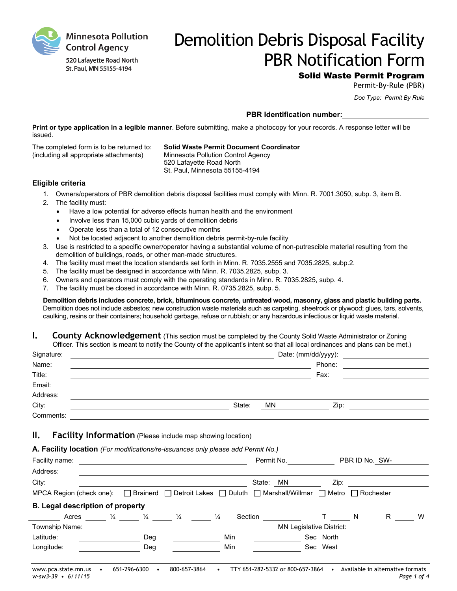

520 Lafayette Road North St. Paul, MN 55155-4194

# Demolition Debris Disposal Facility PBR Notification Form

# Solid Waste Permit Program

Permit-By-Rule (PBR)

*Doc Type: Permit By Rule*

### **PBR Identification number:**

**Print or type application in a legible manner**. Before submitting, make a photocopy for your records. A response letter will be issued.

The completed form is to be returned to: (including all appropriate attachments)

**Solid Waste Permit Document Coordinator** Minnesota Pollution Control Agency 520 Lafayette Road North St. Paul, Minnesota 55155-4194

### **Eligible criteria**

- 1. Owners/operators of PBR demolition debris disposal facilities must comply with Minn. R. 7001.3050, subp. 3, item B.
- 2. The facility must:
	- Have a low potential for adverse effects human health and the environment
	- Involve less than 15,000 cubic yards of demolition debris
	- Operate less than a total of 12 consecutive months
	- Not be located adjacent to another demolition debris permit-by-rule facility
- 3. Use is restricted to a specific owner/operator having a substantial volume of non-putrescible material resulting from the demolition of buildings, roads, or other man-made structures.
- 4. The facility must meet the location standards set forth in Minn. R. 7035.2555 and 7035.2825, subp.2.
- 5. The facility must be designed in accordance with Minn. R. 7035.2825, subp. 3.
- 6. Owners and operators must comply with the operating standards in Minn. R. 7035.2825, subp. 4.
- 7. The facility must be closed in accordance with Minn. R. 0735.2825, subp. 5.

**Demolition debris includes concrete, brick, bituminous concrete, untreated wood, masonry, glass and plastic building parts.**  Demolition does not include asbestos; new construction waste materials such as carpeting, sheetrock or plywood; glues, tars, solvents, caulking, resins or their containers; household garbage, refuse or rubbish; or any hazardous infectious or liquid waste material.

#### **I. County Acknowledgement** (This section must be completed by the County Solid Waste Administrator or Zoning Officer. This section is meant to notify the County of the applicant's intent so that all local ordinances and plans can be met.)

| Signature: |        |           | Date: (mm/dd/yyyy): ________________ |
|------------|--------|-----------|--------------------------------------|
| Name:      |        |           | Phone:                               |
| Title:     |        | Fax:      |                                      |
| Email:     |        |           |                                      |
| Address:   |        |           |                                      |
| City:      | State: | <b>MN</b> | Zip:                                 |
| Comments:  |        |           |                                      |

### **II. Facility Information** (Please include map showing location)

**A. Facility location** *(For modifications/re-issuances only please add Permit No.)*

| Facility name:                                                                                                                    |  |                                                 |              | Permit No.    |         |                                  |                                 | PBR ID No. SW- |                                  |             |
|-----------------------------------------------------------------------------------------------------------------------------------|--|-------------------------------------------------|--------------|---------------|---------|----------------------------------|---------------------------------|----------------|----------------------------------|-------------|
| Address:                                                                                                                          |  |                                                 |              |               |         |                                  |                                 |                |                                  |             |
| City:                                                                                                                             |  |                                                 |              |               |         | State: MN                        | Zip:                            |                |                                  |             |
| MPCA Region (check one): $\Box$ Brainerd $\Box$ Detroit Lakes $\Box$ Duluth $\Box$ Marshall/Willmar $\Box$ Metro $\Box$ Rochester |  |                                                 |              |               |         |                                  |                                 |                |                                  |             |
| <b>B.</b> Legal description of property                                                                                           |  |                                                 |              |               |         |                                  |                                 |                |                                  |             |
|                                                                                                                                   |  | Acres $\frac{1}{4}$ $\frac{1}{4}$ $\frac{1}{4}$ |              | $\frac{1}{4}$ | Section |                                  |                                 | N              | R.                               | W           |
| Township Name:                                                                                                                    |  |                                                 |              |               |         |                                  | <b>MN Legislative District:</b> |                |                                  |             |
| Latitude:                                                                                                                         |  | Deg                                             |              | Min           |         |                                  | Sec North                       |                |                                  |             |
| Longitude:                                                                                                                        |  | Deg                                             |              | Min           |         |                                  | Sec West                        |                |                                  |             |
| www.pca.state.mn.us<br>$\bullet$<br>$w$ -sw3-39 • 6/11/15                                                                         |  | 651-296-6300<br>$\bullet$                       | 800-657-3864 | $\bullet$     |         | TTY 651-282-5332 or 800-657-3864 |                                 |                | Available in alternative formats | Page 1 of 4 |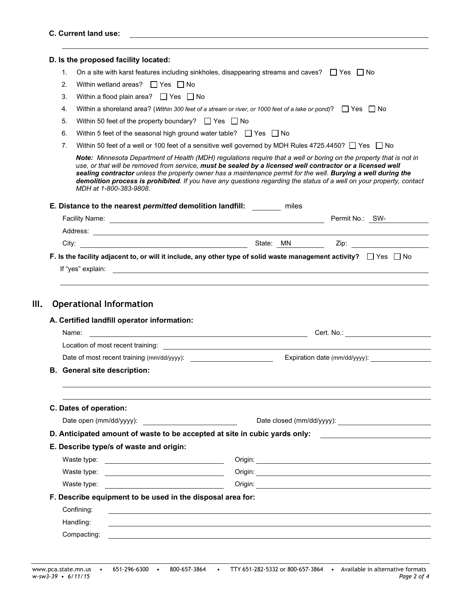### **C. Current land use:**

### **D. Is the proposed facility located:**

- 1. On a site with karst features including sinkholes, disappearing streams and caves?  $\Box$  Yes  $\Box$  No
- 2. Within wetland areas?  $\Box$  Yes  $\Box$  No
- 3. Within a flood plain area?  $\Box$  Yes  $\Box$  No
- 4. Within a shoreland area? (*Within 300 feet of a stream or river, or 1000 feet of a lake or pond*)?  $\Box$  Yes  $\Box$  No
- 5. Within 50 feet of the property boundary?  $\Box$  Yes  $\Box$  No
- 6. Within 5 feet of the seasonal high ground water table?  $\Box$  Yes  $\Box$  No
- 7. Within 50 feet of a well or 100 feet of a sensitive well governed by MDH Rules 4725.4450?  $\Box$  Yes  $\Box$  No

*Note: Minnesota Department of Health (MDH) regulations require that a well or boring on the property that is not in use, or that will be removed from service, must be sealed by a licensed well contractor or a licensed well sealing contractor unless the property owner has a maintenance permit for the well. Burying a well during the demolition process is prohibited. If you have any questions regarding the status of a well on your property, contact MDH at 1-800-383-9808.*

# **E. Distance to the nearest** *permitted* **demolition landfill:** miles Facility Name: Permit No.: SW-Address: City: State: MN Zip: **F.** Is the facility adjacent to, or will it include, any other type of solid waste management activity?  $\Box$  Yes  $\Box$  No If "yes" explain: **III. Operational Information A. Certified landfill operator information:** Name: Cert. No.: Cert. No.: Cert. No.: Cert. No.: Cert. No.: Cert. No.: Cert. No.: Cert. No.: Cert. No.: Cert. No.: Cert. No.: Cert. No.: Cert. No.: Cert. No.: Cert. No.: Cert. No.: Cert. No.: Cert. No.: Cert. No.: Cert. N Location of most recent training: Date of most recent training (mm/dd/yyyy): Expiration date (mm/dd/yyyy): **B. General site description:**

| C. Dates of operation:                                                                                                              |                                                                                                                                       |
|-------------------------------------------------------------------------------------------------------------------------------------|---------------------------------------------------------------------------------------------------------------------------------------|
|                                                                                                                                     |                                                                                                                                       |
|                                                                                                                                     | D. Anticipated amount of waste to be accepted at site in cubic yards only:<br><u> 1986 - Andrea State Barbara, política establece</u> |
| E. Describe type/s of waste and origin:                                                                                             |                                                                                                                                       |
| Waste type:                                                                                                                         |                                                                                                                                       |
| Waste type:<br><u> 1989 - Andrea Barbara, poeta esperanto-poeta esperanto-poeta esperanto-poeta esperanto-poeta esperanto-poeta</u> |                                                                                                                                       |
|                                                                                                                                     |                                                                                                                                       |
| F. Describe equipment to be used in the disposal area for:                                                                          |                                                                                                                                       |
| Confining:                                                                                                                          |                                                                                                                                       |
| Handling:                                                                                                                           |                                                                                                                                       |
| Compacting:                                                                                                                         |                                                                                                                                       |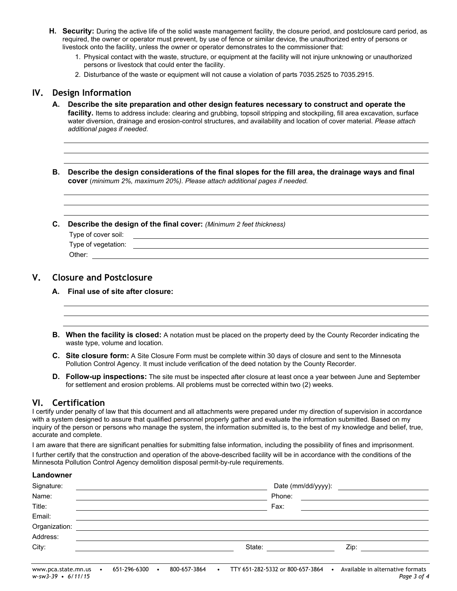- **H. Security:** During the active life of the solid waste management facility, the closure period, and postclosure card period, as required, the owner or operator must prevent, by use of fence or similar device, the unauthorized entry of persons or livestock onto the facility, unless the owner or operator demonstrates to the commissioner that:
	- 1. Physical contact with the waste, structure, or equipment at the facility will not injure unknowing or unauthorized persons or livestock that could enter the facility.
	- 2. Disturbance of the waste or equipment will not cause a violation of parts 7035.2525 to 7035.2915.

### **IV. Design Information**

- **A. Describe the site preparation and other design features necessary to construct and operate the**  facility. Items to address include: clearing and grubbing, topsoil stripping and stockpiling, fill area excavation, surface water diversion, drainage and erosion-control structures, and availability and location of cover material. *Please attach additional pages if needed.*
- **B. Describe the design considerations of the final slopes for the fill area, the drainage ways and final cover** (*minimum 2%, maximum 20%)*. *Please attach additional pages if needed.*
- **C. Describe the design of the final cover:** *(Minimum 2 feet thickness)*

| Type of cover soil: |
|---------------------|
| Type of vegetation: |
| Other:              |

### **V. Closure and Postclosure**

- **A. Final use of site after closure:**
- **B. When the facility is closed:** A notation must be placed on the property deed by the County Recorder indicating the waste type, volume and location.
- **C. Site closure form:** A Site Closure Form must be complete within 30 days of closure and sent to the Minnesota Pollution Control Agency. It must include verification of the deed notation by the County Recorder.
- **D. Follow-up inspections:** The site must be inspected after closure at least once a year between June and September for settlement and erosion problems. All problems must be corrected within two (2) weeks.

### **VI. Certification**

I certify under penalty of law that this document and all attachments were prepared under my direction of supervision in accordance with a system designed to assure that qualified personnel properly gather and evaluate the information submitted. Based on my inquiry of the person or persons who manage the system, the information submitted is, to the best of my knowledge and belief, true, accurate and complete.

I am aware that there are significant penalties for submitting false information, including the possibility of fines and imprisonment.

I further certify that the construction and operation of the above-described facility will be in accordance with the conditions of the Minnesota Pollution Control Agency demolition disposal permit-by-rule requirements.

### **Landowner**

| Signature:    | Date (mm/dd/yyyy): _________________ |
|---------------|--------------------------------------|
| Name:         | Phone:                               |
| Title:        | Fax:                                 |
| Email:        |                                      |
| Organization: |                                      |
| Address:      |                                      |
| City:         | State:<br>Zip:                       |
|               |                                      |